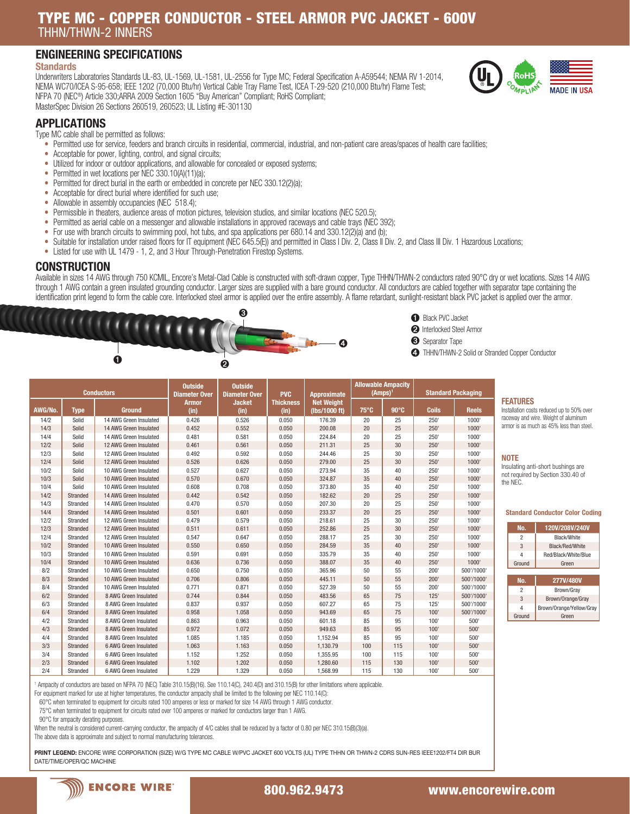# TYPE MC - COPPER CONDUCTOR - STEEL ARMOR PVC JACKET - 600V THHN/THWN-2 INNERS

# ENGINEERING SPECIFICATIONS

### **Standards**

Underwriters Laboratories Standards UL-83, UL-1569, UL-1581, UL-2556 for Type MC; Federal Specification A-A59544; NEMA RV 1-2014, NEMA WC70/ICEA S-95-658; IEEE 1202 (70,000 Btu/hr) Vertical Cable Tray Flame Test, ICEA T-29-520 (210,000 Btu/hr) Flame Test; NFPA 70 (NEC®) Article 330;ARRA 2009 Section 1605 "Buy American" Compliant; RoHS Compliant; MasterSpec Division 26 Sections 260519, 260523; UL Listing #E-301130

# APPLICATIONS

Type MC cable shall be permitted as follows:

- Permitted use for service, feeders and branch circuits in residential, commercial, industrial, and non-patient care areas/spaces of health care facilities;
- Acceptable for power, lighting, control, and signal circuits;
- Utilized for indoor or outdoor applications, and allowable for concealed or exposed systems;
- Permitted in wet locations per NEC 330.10(A)(11)(a);
- Permitted for direct burial in the earth or embedded in concrete per NEC 330.12(2)(a);
- Acceptable for direct burial where identified for such use;
- Allowable in assembly occupancies (NEC 518.4);
- Permissible in theaters, audience areas of motion pictures, television studios, and similar locations (NEC 520.5);
- Permitted as aerial cable on a messenger and allowable installations in approved raceways and cable trays (NEC 392);
- For use with branch circuits to swimming pool, hot tubs, and spa applications per 680.14 and 330.12(2)(a) and (b);
- Suitable for installation under raised floors for IT equipment (NEC 645.5(E)) and permitted in Class I Div. 2, Class II Div. 2, and Class III Div. 1 Hazardous Locations;
- Listed for use with UL 1479 1, 2, and 3 Hour Through-Penetration Firestop Systems.

### **CONSTRUCTION**

Available in sizes 14 AWG through 750 KCMIL, Encore's Metal-Clad Cable is constructed with soft-drawn copper, Type THHN/THWN-2 conductors rated 90°C dry or wet locations. Sizes 14 AWG through 1 AWG contain a green insulated grounding conductor. Larger sizes are supplied with a bare ground conductor. All conductors are cabled together with separator tape containing the identification print legend to form the cable core. Interlocked steel armor is applied over the entire assembly. A flame retardant, sunlight-resistant black PVC jacket is applied over the armor.





➋ Interlocked Steel Armor

➌ Separator Tape

➍ THHN/THWN-2 Solid or Stranded Copper Conductor

| <b>Conductors</b> |             | <b>Outside</b><br><b>Diameter Over</b> | <b>Outside</b><br><b>Diameter Over</b> | <b>PVC</b>    | <b>Approximate</b> | <b>Allowable Ampacity</b><br>(Amps) <sup>1</sup> |                | <b>Standard Packaging</b> |              |              |                 |                                           |
|-------------------|-------------|----------------------------------------|----------------------------------------|---------------|--------------------|--------------------------------------------------|----------------|---------------------------|--------------|--------------|-----------------|-------------------------------------------|
|                   |             |                                        | <b>Armor</b>                           | <b>Jacket</b> | <b>Thickness</b>   | <b>Net Weight</b>                                |                |                           |              |              | <b>FEATURES</b> |                                           |
| AWG/No.           | <b>Type</b> | <b>Ground</b>                          | (in)                                   | (in)          | (in)               | (lbs/1000 ft)                                    | $75^{\circ}$ C | $90^\circ C$              | <b>Coils</b> | <b>Reels</b> |                 | Installation costs reduced up to 50% over |
| 14/2              | Solid       | 14 AWG Green Insulated                 | 0.426                                  | 0.526         | 0.050              | 176.39                                           | 20             | 25                        | 250          | 1000         |                 | raceway and wire. Weight of aluminum      |
| 14/3              | Solid       | 14 AWG Green Insulated                 | 0.452                                  | 0.552         | 0.050              | 200.08                                           | 20             | 25                        | 250'         | 1000'        |                 | armor is as much as 45% less than steel   |
| 14/4              | Solid       | 14 AWG Green Insulated                 | 0.481                                  | 0.581         | 0.050              | 224.84                                           | 20             | 25                        | 250          | 1000         |                 |                                           |
| 12/2              | Solid       | 12 AWG Green Insulated                 | 0.461                                  | 0.561         | 0.050              | 211.31                                           | 25             | 30                        | 250'         | 1000         |                 |                                           |
| 12/3              | Solid       | 12 AWG Green Insulated                 | 0.492                                  | 0.592         | 0.050              | 244.46                                           | 25             | 30                        | 250          | 1000         | <b>NOTE</b>     |                                           |
| 12/4              | Solid       | 12 AWG Green Insulated                 | 0.526                                  | 0.626         | 0.050              | 279.00                                           | 25             | 30                        | 250'         | 1000         |                 | Insulating anti-short bushings are        |
| 10/2              | Solid       | 10 AWG Green Insulated                 | 0.527                                  | 0.627         | 0.050              | 273.94                                           | 35             | 40                        | 250          | 1000         |                 | not required by Section 330.40 of         |
| 10/3              | Solid       | 10 AWG Green Insulated                 | 0.570                                  | 0.670         | 0.050              | 324.87                                           | 35             | 40                        | 250'         | 1000         | the NEC.        |                                           |
| 10/4              | Solid       | 10 AWG Green Insulated                 | 0.608                                  | 0.708         | 0.050              | 373.80                                           | 35             | 40                        | 250          | 1000         |                 |                                           |
| 14/2              | Stranded    | 14 AWG Green Insulated                 | 0.442                                  | 0.542         | 0.050              | 182.62                                           | 20             | 25                        | 250'         | 1000         |                 |                                           |
| 14/3              | Stranded    | 14 AWG Green Insulated                 | 0.470                                  | 0.570         | 0.050              | 207.30                                           | 20             | 25                        | 250          | 1000         |                 |                                           |
| 14/4              | Stranded    | 14 AWG Green Insulated                 | 0.501                                  | 0.601         | 0.050              | 233.37                                           | 20             | 25                        | 250'         | 1000         |                 | <b>Standard Conductor Color Cod</b>       |
| 12/2              | Stranded    | 12 AWG Green Insulated                 | 0.479                                  | 0.579         | 0.050              | 218.61                                           | 25             | 30                        | 250          | 1000         |                 |                                           |
| 12/3              | Stranded    | 12 AWG Green Insulated                 | 0.511                                  | 0.611         | 0.050              | 252.86                                           | 25             | 30                        | 250'         | 1000         | No.             | 120V/208V/240V                            |
| 12/4              | Stranded    | 12 AWG Green Insulated                 | 0.547                                  | 0.647         | 0.050              | 288.17                                           | 25             | 30                        | 250          | 1000         | $\overline{2}$  | Black/White                               |
| 10/2              | Stranded    | 10 AWG Green Insulated                 | 0.550                                  | 0.650         | 0.050              | 284.59                                           | 35             | 40                        | 250'         | 1000         | 3               | Black/Red/White                           |
| 10/3              | Stranded    | 10 AWG Green Insulated                 | 0.591                                  | 0.691         | 0.050              | 335.79                                           | 35             | 40                        | 250          | 1000         | $\overline{4}$  | Red/Black/White/Blue                      |
| 10/4              | Stranded    | 10 AWG Green Insulated                 | 0.636                                  | 0.736         | 0.050              | 388.07                                           | 35             | 40                        | 250'         | 1000         | Ground          | Green                                     |
| 8/2               | Stranded    | 10 AWG Green Insulated                 | 0.650                                  | 0.750         | 0.050              | 365.96                                           | 50             | 55                        | 200'         | 500'/1000'   |                 |                                           |
| 8/3               | Stranded    | 10 AWG Green Insulated                 | 0.706                                  | 0.806         | 0.050              | 445.11                                           | 50             | 55                        | 200'         | 500'/1000'   | No.             | 277V/480V                                 |
| 8/4               | Stranded    | 10 AWG Green Insulated                 | 0.771                                  | 0.871         | 0.050              | 527.39                                           | 50             | 55                        | 200'         | 500'/1000'   | $\overline{2}$  | Brown/Gray                                |
| 6/2               | Stranded    | 8 AWG Green Insulated                  | 0.744                                  | 0.844         | 0.050              | 483.56                                           | 65             | 75                        | 125'         | 500'/1000'   | 3               | Brown/Orange/Gray                         |
| 6/3               | Stranded    | 8 AWG Green Insulated                  | 0.837                                  | 0.937         | 0.050              | 607.27                                           | 65             | 75                        | 125'         | 500'/1000'   | $\overline{4}$  | Brown/Orange/Yellow/Gr                    |
| 6/4               | Stranded    | 8 AWG Green Insulated                  | 0.958                                  | 1.058         | 0.050              | 943.69                                           | 65             | 75                        | 100'         | 500'/1000'   | Ground          | Green                                     |
| 4/2               | Stranded    | 8 AWG Green Insulated                  | 0.863                                  | 0.963         | 0.050              | 601.18                                           | 85             | 95                        | 100          | 500'         |                 |                                           |
| 4/3               | Stranded    | 8 AWG Green Insulated                  | 0.972                                  | 1.072         | 0.050              | 949.63                                           | 85             | 95                        | 100'         | 500'         |                 |                                           |
| 4/4               | Stranded    | 8 AWG Green Insulated                  | 1.085                                  | 1.185         | 0.050              | 1,152.94                                         | 85             | 95                        | 100          | 500'         |                 |                                           |
| 3/3               | Stranded    | 6 AWG Green Insulated                  | 1.063                                  | 1.163         | 0.050              | 1,130.79                                         | 100            | 115                       | 100'         | 500'         |                 |                                           |
| 3/4               | Stranded    | 6 AWG Green Insulated                  | 1.152                                  | 1.252         | 0.050              | 1,355.95                                         | 100            | 115                       | 100          | 500'         |                 |                                           |
| 2/3               | Stranded    | 6 AWG Green Insulated                  | 1.102                                  | 1.202         | 0.050              | 1,280.60                                         | 115            | 130                       | 100'         | 500'         |                 |                                           |
| 2/4               | Stranded    | 6 AWG Green Insulated                  | 1 2 2 9                                | 1 329         | 0.050              | 156899                                           | 115            | 130                       | 100'         | 500'         |                 |                                           |

MPI IA

**MADE IN** 

#### NOTE

#### Standard Conductor Color Coding

| No.            | 120V/208V/240V           |  |  |  |  |  |
|----------------|--------------------------|--|--|--|--|--|
| $\overline{c}$ | <b>Rlack/White</b>       |  |  |  |  |  |
| 3              | Black/Red/White          |  |  |  |  |  |
| Δ              | Red/Black/White/Blue     |  |  |  |  |  |
| Ground         | Green                    |  |  |  |  |  |
|                |                          |  |  |  |  |  |
|                |                          |  |  |  |  |  |
| No.            | 277V/480V                |  |  |  |  |  |
| $\overline{2}$ | Brown/Gray               |  |  |  |  |  |
| 3              | Brown/Orange/Gray        |  |  |  |  |  |
| л              | Brown/Orange/Yellow/Gray |  |  |  |  |  |

1 Ampacity of conductors are based on NFPA 70 (NEC) Table 310.15(B)(16). See 110.14(C), 240.4(D) and 310.15(B) for other limitations where applicable.

For equipment marked for use at higher temperatures, the conductor ampacity shall be limited to the following per NEC 110.14(C):

60°C when terminated to equipment for circuits rated 100 amperes or less or marked for size 14 AWG through 1 AWG conductor.

75°C when terminated to equipment for circuits rated over 100 amperes or marked for conductors larger than 1 AWG.

90°C for ampacity derating purposes.

When the neutral is considered current-carrying conductor, the ampacity of 4/C cables shall be reduced by a factor of 0.80 per NEC 310.15(B)(3)(a).

The above data is approximate and subject to normal manufacturing tolerances.

PRINT LEGEND: ENCORE WIRE CORPORATION (SIZE) W/G TYPE MC CABLE W/PVC JACKET 600 VOLTS (UL) TYPE THHN OR THWN-2 CDRS SUN-RES IEEE1202/FT4 DIR BUR DATE/TIME/OPER/QC MACHINE